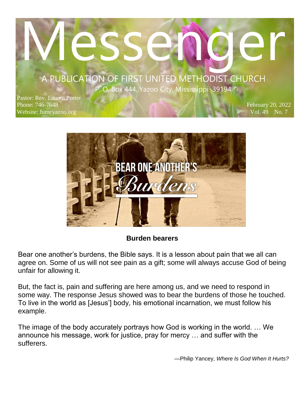# MESSENGER A PUBLICATION OF FIRST UNITED METHODIST CHURCH

**P. O.** Box 444, Yazoo City, Mississippi 39194

 $\mathcal{P}(\mathcal{A})$  and  $\mathcal{A}(\mathcal{A})$ 

Pastor: Rev. Lauren Porter Phone: 746-7648 Website: fumcyazoo.org

February 20, 2022 Vol. 49 No. 7



#### **Burden bearers**

Bear one another's burdens, the Bible says. It is a lesson about pain that we all can agree on. Some of us will not see pain as a gift; some will always accuse God of being unfair for allowing it.

But, the fact is, pain and suffering are here among us, and we need to respond in some way. The response Jesus showed was to bear the burdens of those he touched. To live in the world as [Jesus'] body, his emotional incarnation, we must follow his example.

The image of the body accurately portrays how God is working in the world. … We announce his message, work for justice, pray for mercy … and suffer with the sufferers.

—Philip Yancey, *Where Is God When It Hurts?*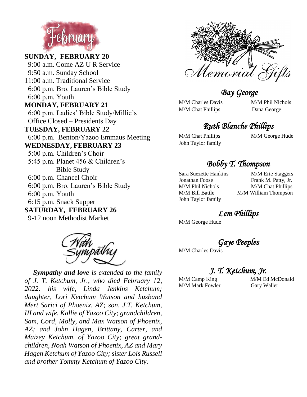

**SUNDAY, FEBRUARY 20** 9:00 a.m. Come AZ U R Service 9:50 a.m. Sunday School 11:00 a.m. Traditional Service 6:00 p.m. Bro. Lauren's Bible Study 6:00 p.m. Youth **MONDAY, FEBRUARY 21** 6:00 p.m. Ladies' Bible Study/Millie's Office Closed – Presidents Day **TUESDAY, FEBRUARY 22** 6:00 p.m. Benton/Yazoo Emmaus Meeting **WEDNESDAY, FEBRUARY 23** 5:00 p.m. Children's Choir 5:45 p.m. Planet 456 & Children's Bible Study 6:00 p.m. Chancel Choir 6:00 p.m. Bro. Lauren's Bible Study 6:00 p.m. Youth 6:15 p.m. Snack Supper **SATURDAY, FEBRUARY 26** 9-12 noon Methodist Market



 *Sympathy and love is extended to the family of J. T. Ketchum, Jr., who died February 12, 2022: his wife, Linda Jenkins Ketchum; daughter, Lori Ketchum Watson and husband Mert Sarici of Phoenix, AZ; son, J.T. Ketchum, III and wife, Kallie of Yazoo City; grandchildren, Sam, Cord, Molly, and Max Watson of Phoenix, AZ; and John Hagen, Brittany, Carter, and Maizey Ketchum, of Yazoo City; great grandchildren, Noah Watson of Phoenix, AZ and Mary Hagen Ketchum of Yazoo City; sister Lois Russell and brother Tommy Ketchum of Yazoo City.*



 *Bay George* 

M/M Charles Davis M/M Phil Nichols M/M Chat Phillips Dana George

#### *Ruth Blanche Phillips*

John Taylor family

M/M Chat Phillips **M/M George Hude** 

#### *Bobby T. Thompson*

John Taylor family

Sara Suezette Hankins M/M Erie Staggers Jonathan Foose Frank M. Patty, Jr. M/M Phil Nichols M/M Chat Phillips M/M Bill Battle M/M William Thompson

*Lem Phillips* 

M/M George Hude

*Gaye Peeples* 

M/M Charles Davis

*J. T. Ketchum, Jr.* 

M/M Camp King M/M Ed McDonald M/M Mark Fowler Gary Waller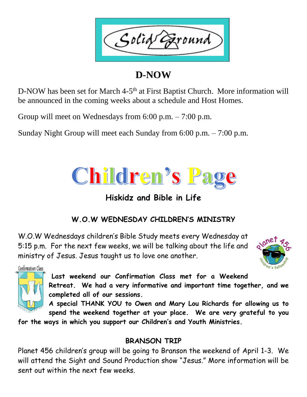Solid ound

# **D-NOW**

D-NOW has been set for March 4-5<sup>th</sup> at First Baptist Church. More information will be announced in the coming weeks about a schedule and Host Homes.

Group will meet on Wednesdays from 6:00 p.m. – 7:00 p.m.

Sunday Night Group will meet each Sunday from 6:00 p.m. – 7:00 p.m.



### **Hiskidz and Bible in Life**

### **W.O.W WEDNESDAY CHILDREN'S MINISTRY**

W.O.W Wednesdays children's Bible Study meets every Wednesday at 5:15 p.m. For the next few weeks, we will be talking about the life and ministry of Jesus. Jesus taught us to love one another.



Confirmation Class

**Last weekend our Confirmation Class met for a Weekend** 

**Retreat. We had a very informative and important time together, and we completed all of our sessions.** 

**A special THANK YOU to Owen and Mary Lou Richards for allowing us to spend the weekend together at your place. We are very grateful to you** 

**for the ways in which you support our Children's and Youth Ministries.**

#### **BRANSON TRIP**

Planet 456 children's group will be going to Branson the weekend of April 1-3. We will attend the Sight and Sound Production show "Jesus." More information will be sent out within the next few weeks.